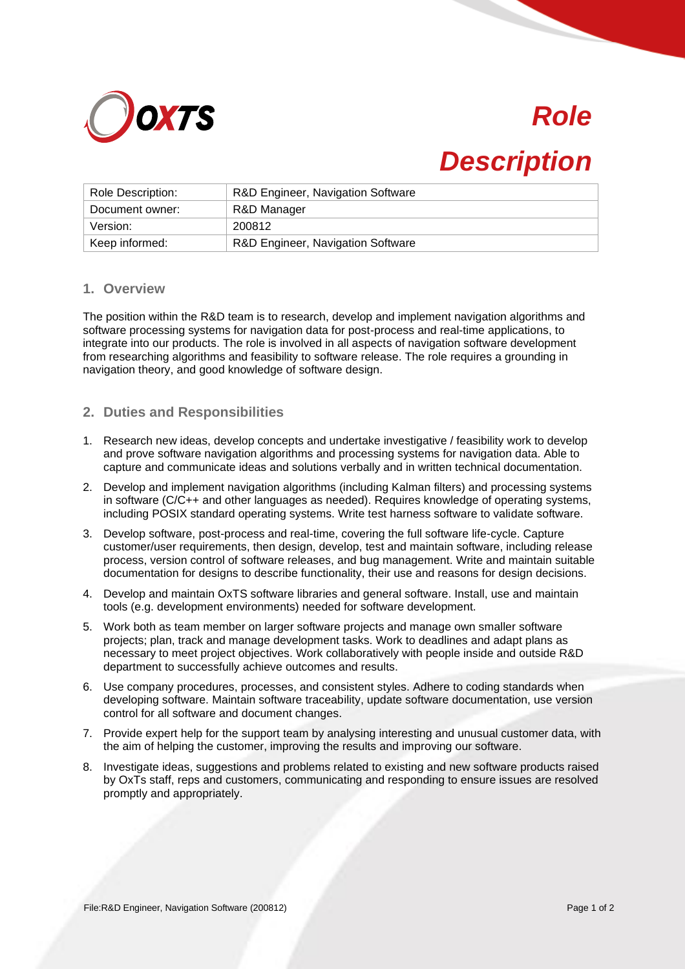

# *Role*

## *Description*

| Role Description: | R&D Engineer, Navigation Software |
|-------------------|-----------------------------------|
| Document owner:   | R&D Manager                       |
| Version:          | 200812                            |
| Keep informed:    | R&D Engineer, Navigation Software |

#### **1. Overview**

The position within the R&D team is to research, develop and implement navigation algorithms and software processing systems for navigation data for post-process and real-time applications, to integrate into our products. The role is involved in all aspects of navigation software development from researching algorithms and feasibility to software release. The role requires a grounding in navigation theory, and good knowledge of software design.

#### **2. Duties and Responsibilities**

- 1. Research new ideas, develop concepts and undertake investigative / feasibility work to develop and prove software navigation algorithms and processing systems for navigation data. Able to capture and communicate ideas and solutions verbally and in written technical documentation.
- 2. Develop and implement navigation algorithms (including Kalman filters) and processing systems in software (C/C++ and other languages as needed). Requires knowledge of operating systems, including POSIX standard operating systems. Write test harness software to validate software.
- 3. Develop software, post-process and real-time, covering the full software life-cycle. Capture customer/user requirements, then design, develop, test and maintain software, including release process, version control of software releases, and bug management. Write and maintain suitable documentation for designs to describe functionality, their use and reasons for design decisions.
- 4. Develop and maintain OxTS software libraries and general software. Install, use and maintain tools (e.g. development environments) needed for software development.
- 5. Work both as team member on larger software projects and manage own smaller software projects; plan, track and manage development tasks. Work to deadlines and adapt plans as necessary to meet project objectives. Work collaboratively with people inside and outside R&D department to successfully achieve outcomes and results.
- 6. Use company procedures, processes, and consistent styles. Adhere to coding standards when developing software. Maintain software traceability, update software documentation, use version control for all software and document changes.
- 7. Provide expert help for the support team by analysing interesting and unusual customer data, with the aim of helping the customer, improving the results and improving our software.
- 8. Investigate ideas, suggestions and problems related to existing and new software products raised by OxTs staff, reps and customers, communicating and responding to ensure issues are resolved promptly and appropriately.